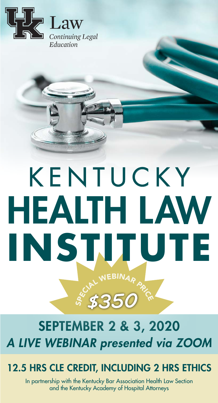

# SCIAL WEBINARD *\$350* KENTUCKY HEALTH LAW **INSTITUTE**

# SEPTEMBER 2 & 3, 2020 *A LIVE WEBINAR presented via ZOOM*

# 12.5 HRS CLE CREDIT, INCLUDING 2 HRS ETHICS

In partnership with the Kentucky Bar Association Health Law Section and the Kentucky Academy of Hospital Attorneys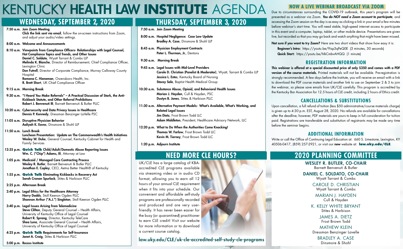- 7:50 a.m. Join Zoom Meeting
- 8:00 a.m. Hospital Negligence: Case Law Update Bradley A. Case, Dinsmore & Shohl LLP
- 8:45 a.m. Physician Employment Contracts Peter L. Thurman, Jr., Dentons
- 9:30 a.m. Morning Break

9:45 a.m. Legal Issues with Mid-Level Providers Carole D. Christian (Panelist & Moderator), Wyatt, Tarrant & Combs LLP Jessica L. Estes, Kentucky Board of Nursing **Stacey Sale**, Baptist Health Medical Group

11:30 a.m. Alternative Payment Models: What's Available, What's Working, and Related Legal Issues Jim Dietz, Frost Brown Todd LLC Adam Middleton, President, Healthcare Advisory Network, LLC

12:20 p.m. What to Do When the Authorities Come Knocking! Thomas W. Farlow, Frost Brown Todd LLC Kevin M. Tierney, Frost Brown Todd LLC

7:50 a.m. Join Zoom Meeting Click the link sent via email, follow the on-screen instructions from Zoom, and adjust your audio/video settings. 8:00 a.m. Welcome and Announcements 8:10 a.m. Viewpoints from Compliance Officers- Relationships with Legal Counsel, Hot Compliance Topics and Trends, and Other Issues Daniel C. Soldato, Wyatt Tarrant & Combs LLP Melinda K. Blanche, Director of Reimbursement, Chief Compliance Officer, Lexington Clinic Don Futrell, Director of Corporate Compliance, Murray Calloway County **Hospital** 

> 10:30 a.m. Substance Abuse, Opioid, and Behavioral Health Issues Marian J. Hayden, Cull & Hayden, PSC Dustyn B. Jones, Stites & Harbison PLLC

- 9:15 a.m. Morning Break
- 9:30 a.m. "I Heard You Make Referrals" A Practical Discussion of Stark, the Anti-Kickback Statute, and Other Referral Prohibitions Robert J. Benvenuti III, Barnett Benvenuti & Butler PLLC
- 10:20 a.m. Cybersecurity and Data Privacy Issues in Healthcare Dennis P. Kennedy, Dressman Benzinger LaVelle PSC
- 11:05 a.m. Disruptive Physician Behavior Aaliyah K. Eaves, Dinsmore & Shohl LLP
- 11:50 a.m. Lunch Break Luncheon Presentation: Update on The Commonwealth's Health Initiatives Wesley W. Duke, General Counsel, Kentucky Cabinet for Health and Family Services
- 12:35 p.m. **Quick Talk** Child/Adult/Domestic Abuse Reporting Issues Wm. C. ("Chip") Adams, III, Attorney at Law
- 1:05 p.m. Medicaid / Managed Care Contracting Process Wesley R. Butler, Barnett Benvenuti & Butler PLLC Jonathan E. Copley, CEO, Aetna Better Health® of Kentucky
- 1:55 p.m. **Quick Talk** Eliminating Kickbacks in Recovery Act Sarah Cronan Spurlock, Stites & Harbison PLLC
- 2:25 p.m. Afternoon Break
- 2:40 p.m. Legal Ethics for the Healthcare Attorney Harry Dadds, Stoll Keenon Ogden PLLC Shannon Arthur ("A.J.") Singleton, Stoll Keenon Ogden PLLC
- 3:40 p.m. Legal Issues Arising from Telemedicine Steve Clifton, Deputy General Counsel - Health Affairs, University of Kentucky Office of Legal Counsel Robert R. Sprang, Director, Kentucky TeleCare Shea Luna, Associate General Counsel – Health Affairs, University of Kentucky Office of Legal Counsel
- 4:25 p.m. **Quick Talk** Requirements for Self-Insurance Janet A. Craig, Stites & Harbison PLLC

1:20 p.m. Adjourn Institute

Ramona C. Hieneman, Owensboro Health, Inc. R. Brett Short, UK Chief Compliance Officer

Not sure if you want to try Zoom? Here are two short videos that show how easy it is: Beginner's Intro: https://youtu.be/9isp3qPeQ0E (3 minutes, 30 seconds) Quick Start: https://youtu.be/hIkCmbvAHQQ (1 minute)

5:00 p.m. Recess Institute

# KENTUCKY HEALTH LAW **INSTITUTE** AGENDA

WESLEY R. BUTLER, CO-CHAIR Barnett Benvenuti & Butler

DANIEL C. SOLDATO, CO-CHAIR Wyatt Tarrant & Combs

> CAROLE D. CHRISTIAN Wyatt Tarrant & Combs

MARIAN J. HAYDEN Cull & Hayden

K. KELLY WHITE BRYANT Stites & Harbison

> JAMES A. DIETZ Frost Brown Todd

MATHEW KLEIN Dressman Benzinger Lavelle

> BRADLEY A. CASE Dinsmore & Shohl

## **WEDNESDAY, SEPTEMBER 2, 2020 THURSDAY, SEPTEMBER 3, 2020**

## **NEED MORE CLE HOURS? 2020 PLANNING COMMITTEE**

#### **NOW A LIVE WEBINAR BROADCAST VIA ZOOM**

Due to circumstances surrounding the COVID-19 outbreak, this year's program will be presented as a webinar via Zoom. *You do NOT need a Zoom account to participate*, and accessing the Zoom session on the day is as easy as clicking a link in your email a few minutes before webinar's start time. You will need stable, high-speed internet access to participate in this event and a computer, laptop, tablet, or other mobile device. Presentations are given live, but recorded so that you may go back and watch anything that might have been missed.

#### **REGISTRATION INFORMATION**

This webinar is offered at a special discounted price of only \$350 and comes with a PDF version of the course materials. Printed materials will not be available. Pre-registration is strongly recommended. A few days before the Institute, you will receive an email with a link to download the PDF course materials and another link to use on September 2 & 3 to join the webinar, so please save emails from UK/CLE carefully. This program is accredited by the Kentucky Bar Association for 12.5 hours of CLE credit, including 2 hours of Ethics credit.

### **CANCELLATIONS & SUBSTITUTIONS**

Upon cancellation, a full refund of tuition (less \$50 administrative/course materials charge) is given up to 4:30 p.m. EST, August 28, 2020. No refunds are available for cancellations after the deadline; however, PDF materials are yours to keep in full consideration for tuition paid. Registrations are transferable and substitution of registrants may be made any time before the seminar begins.

### **ADDITIONAL INFORMATION**

Write or call the Office of Continuing Legal Education at: 660 S. Limestone, Lexington, KY 40506-0417, (859) 257-2921, or visit our new website at: **law.uky.edu/CLE**.

UK/CLE has a large catalog of KBAaccredited CLE programs available via streaming video or in audio CD format, allowing you to earn all 12 hours of your annual CLE requirement when it fits into your schedule. Our convenient and affordable self-study programs are professionally recorded and produced and are very userfriendly. It has never been easier for the busy (or *quarantined*) practitioner to earn CLE credit! Visit our website for more information or to download a current course catalog.

law.uky.edu/CLE/uk-cle-accredited-self-study-cle-programs